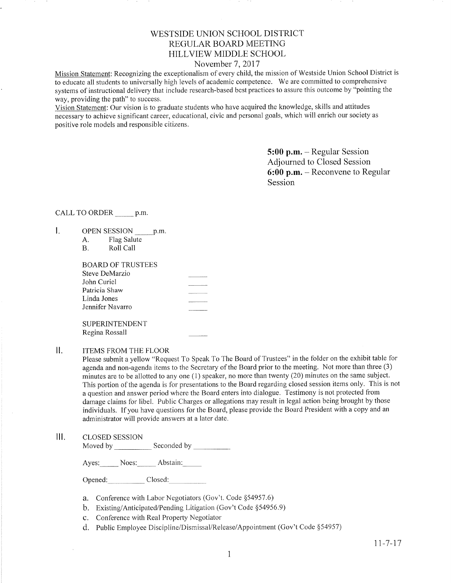# WESTSIDE UNION SCHOOL DISTRICT REGULAR BOARD MEETING HILLVIEW MIDDLE SCHOOL

### November 7, 2017

Mission Statement: Recognizing the exceptionalism of every child, the mission of Westside Union School District is to educate all students to universally high levels of academic competence. We are committed to comprehensive systems of instructional delivery that include research-based best practices to assure this outcome by "pointing the way, providing the path" to success.

Vision Statement: Our vision is to graduate students who have acquired the knowledge, skills and attitudes necessary to achieve significant career, educational, civic and personal goals, which will enrich our society as positive role models and responsible citizens.

> 5:00 p.m. - Regular Session Adjourned to Closed Session 6:00 p.m. - Reconvene to Regular Session

# CALL TO ORDER \_\_\_\_\_\_\_ p.m.

- $\mathbf{I}$ . OPEN SESSION \_\_\_\_\_\_ p.m.<br>A. Flag Salute<br>B. Roll Call
	-

| <b>BOARD OF TRUSTEES</b> |            |
|--------------------------|------------|
| Steve DeMarzio           | __________ |
| John Curiel              |            |
| Patricia Shaw            |            |
| Linda Jones              |            |
| Jennifer Navarro         |            |
|                          |            |
| <b>SUPERINTENDENT</b>    |            |

Regina Rossall

#### $\prod$ ITEMS FROM THE FLOOR

Please submit a yellow "Request To Speak To The Board of Trustees" in the folder on the exhibit table for agenda and non-agenda items to the Secretary of the Board prior to the meeting. Not more than three (3) minutes are to be allotted to any one (1) speaker, no more than twenty (20) minutes on the same subject. This portion of the agenda is for presentations to the Board regarding closed session items only. This is not a question and answer period where the Board enters into dialogue. Testimony is not protected frorn damage claims for libel. Public Charges or allegations may result in legal action being brought by those individuals. lf you have questions for the Board, please provide the Board President with a copy and an administrator will provide answers at a later date.

## III. CLoSED SESSION

Moved by Seconded by Seconded by Seconded by Seconded by Seconded by Seconded by Seconded by Seconded by Seconded by Seconded by Seconded by Seconded by Seconded by Seconded by Seconded by Seconded by Seconded by Seconded

Ayes: Noes: Abstain:

Opened: Closed:

- a. Conference with Labor Negotiators (Gov't. Code \$54957.6)
- b. Existing/Anticipated/Pending Litigation (Gov't Code \$54956.9)
- c. Conference with Real Property Negotiator
- d. Public Employee Discipline/Disrnissal/Release/Appointment (Gov't Code \$54957)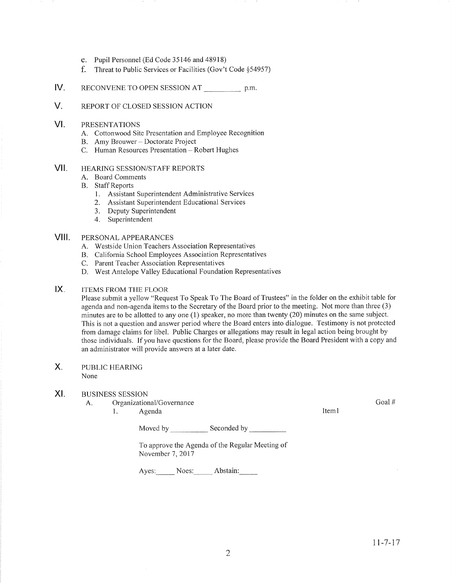- e. Pupil Personnel (Ed Code 35146 and 48918)
- f. Threat to Public Services or Facilities (Gov't Code \$54957)
- IV. RECONVENE TO OPEN SESSION AT p.m.
- V. REPORT OF CLOSED SESSION ACTION
- VI PRESENTATIONS
	- A. Cottonwood Site Presentation and Employee Recognition<br>B. Amy Brouwer Doctorate Project
	-
	- C. Human Resources Presentation Robert Hughes

#### HEARING SESSION/STAFF REPORTS vil

- A. Board Comments
- B. Staff Reports
	- 1. Assistant Superintendent Administrative Services
	- 2. Assistant Superintendent Educational Services
	- 3. Deputy Superintendent
	- 4. Superintendent

#### PERSONAL APPEARANCES vilt

- A. Westside Union Teachers Association Representatives
- B. California School Employees Association Representatives<br>C. Parent Teacher Association Representatives
- 
- D. West Antelope Valley Educational Foundation Representatives

#### ITEMS FROM THE FLOOR  $IX.$

Please submit a yellow "Request To Speak To The Board of Trustees" in the folder on the exhibit table for agenda and non-agenda items to the Secretary of the Board prior to the meeting. Not more than three (3) minutes are to be allotted to any one  $(1)$  speaker, no more than twenty  $(20)$  minutes on the same subject. This is not a question and answer period where the Board enters into dialogue. Testimony is not protected from damage claims for libel. Public Charges or allegations may result in legal action being brought by those individuals. If you have questions for the Board, please provide the Board President with a copy and an administrator will provide answers at a later date.

#### PUBLIC HEARING X.

None

### XI. BUSINESS SESSION

- A. Organizational/Governance
	- 1. Agenda 11. aastal 11. aastal 11. aastal 11. aastal 11. aastal 11. aastal 11. aastal 11. aastal 11. aastal 1

Moved by Seconded by Seconded by Seconded by Seconded by Seconded by Seconded by Seconded by Seconded by Seconded by Seconded by Seconded by Seconded by Seconded by Seconded by Seconded by Seconded by Seconded by Seconded

To approve the Agenda of the Regular Meeting of November 7, 2017

Ayes: Noes: Abstain:

Goal #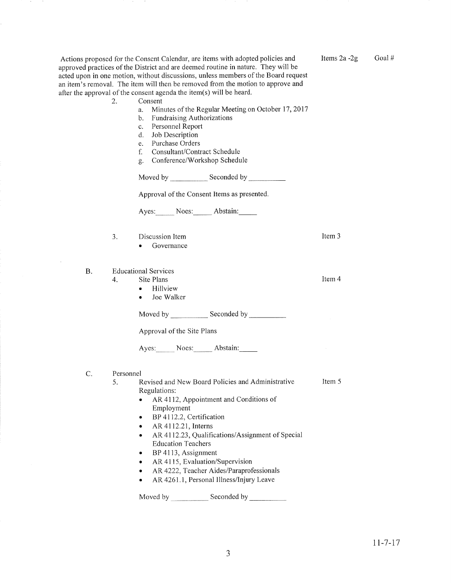Moved by \_\_\_\_\_\_\_\_\_\_\_\_\_ Seconded by Approval of the Consent Items as presented. Ayes: Noes: Abstain: Item 3 Item 4 Item 5 3. Discussion Item . Governance B. C. Educational Services 4. Site Plans . Hillview . Joe Walker Moved by Seconded by Approval of the Site Plans Ayes: Noes: Abstain: Personnel 5. Revised and New Board Policies and Administrative Regulations: • AR 4112, Appointment and Conditions of Ernployment • BP 4112.2, Certification  $\bullet$  AR 4112.21, Interns • AR 4112.23, Qualifications/Assignment of Special Education Teachers . BP 4113, Assignment • AR 4115, Evaluation/Supervision AR 4222, Teacher Aides/Paraprofessionals . AR 4261 .l , Personal lllness/Injury Leave

a. Minutes of the Regular Meeting on October 17, 2017<br>b. Fundraising Authorizations

Actions proposed for the Consent Calendar, are items with adopted policies and approved practices of the District and are deemed routine in nature. They will be acted upon in one motion, without discussions, unless members of the Board request an item's removal. The item will then be removed from the motion to approve and

after the approval of the consent agenda the item(s) will be heard. 2. Consent

c. Personnel Report d. Job Descrìption e. Purchase Orders

f. Consultant/Contract Schedule g. Conference/Workshop Schedule

Moved by \_\_\_\_\_\_\_\_\_\_\_\_\_\_ Seconded by

Items  $2a - 2g$  Goal #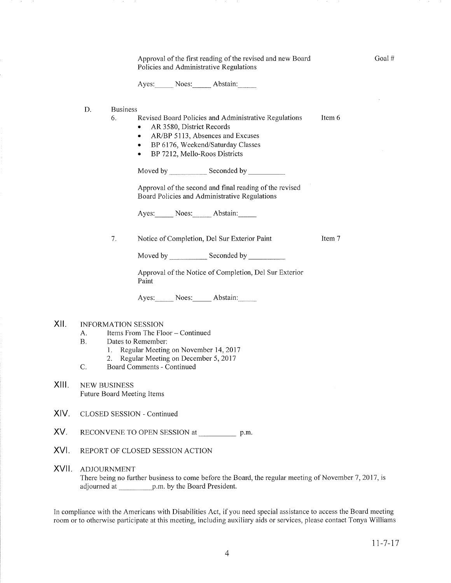|       | Approval of the first reading of the revised and new Board<br>Policies and Administrative Regulations                                                                                                                                  |                 |       |  |                                                                                                                    |        | Goal# |  |
|-------|----------------------------------------------------------------------------------------------------------------------------------------------------------------------------------------------------------------------------------------|-----------------|-------|--|--------------------------------------------------------------------------------------------------------------------|--------|-------|--|
|       |                                                                                                                                                                                                                                        |                 |       |  | Ayes: Noes: Abstain:                                                                                               |        |       |  |
|       | D.                                                                                                                                                                                                                                     | <b>Business</b> |       |  |                                                                                                                    |        |       |  |
|       | Revised Board Policies and Administrative Regulations<br>6.<br>AR 3580, District Records<br>AR/BP 5113, Absences and Excuses<br>٠<br>BP 6176, Weekend/Saturday Classes<br>٠<br>BP 7212, Mello-Roos Districts<br>٠                      |                 |       |  | Item 6                                                                                                             |        |       |  |
|       |                                                                                                                                                                                                                                        |                 |       |  |                                                                                                                    |        |       |  |
|       |                                                                                                                                                                                                                                        |                 |       |  | Approval of the second and final reading of the revised<br>Board Policies and Administrative Regulations           |        |       |  |
|       |                                                                                                                                                                                                                                        |                 |       |  | Ayes: Noes: Abstain:                                                                                               |        |       |  |
|       |                                                                                                                                                                                                                                        | 7.              |       |  | Notice of Completion, Del Sur Exterior Paint                                                                       | Item 7 |       |  |
|       |                                                                                                                                                                                                                                        |                 |       |  |                                                                                                                    |        |       |  |
|       |                                                                                                                                                                                                                                        |                 | Paint |  | Approval of the Notice of Completion, Del Sur Exterior                                                             |        |       |  |
|       |                                                                                                                                                                                                                                        |                 |       |  | Ayes: Noes: Abstain:                                                                                               |        |       |  |
| XII.  | <b>INFORMATION SESSION</b><br>Items From The Floor - Continued<br>А.<br><b>B.</b><br>Dates to Remember:<br>Regular Meeting on November 14, 2017<br>1.<br>Regular Meeting on December 5, 2017<br>2.<br>C.<br>Board Comments - Continued |                 |       |  |                                                                                                                    |        |       |  |
|       |                                                                                                                                                                                                                                        |                 |       |  |                                                                                                                    |        |       |  |
| XIII. | <b>NEW BUSINESS</b><br>Future Board Meeting Items                                                                                                                                                                                      |                 |       |  |                                                                                                                    |        |       |  |
| XIV.  | CLOSED SESSION - Continued                                                                                                                                                                                                             |                 |       |  |                                                                                                                    |        |       |  |
| XV.   | RECONVENE TO OPEN SESSION at p.m.                                                                                                                                                                                                      |                 |       |  |                                                                                                                    |        |       |  |
| XVI.  | REPORT OF CLOSED SESSION ACTION                                                                                                                                                                                                        |                 |       |  |                                                                                                                    |        |       |  |
| XVII. | <b>ADJOURNMENT</b><br>There being no further business to come before the Board, the regular meeting of November 7, 2017, is<br>adjourned at p.m. by the Board President.                                                               |                 |       |  |                                                                                                                    |        |       |  |
|       |                                                                                                                                                                                                                                        |                 |       |  | In compliance with the Americans with Disabilities Act, if you need special assistance to access the Board meeting |        |       |  |

 $\sim$   $\sim$  $\sim 20$ 

197 F

and a string

 $11 - 7 - 17$ 

 $\lambda$ 

room or to otherwise participate at this meeting, including auxiliary aids or services, please contact Tonya Williams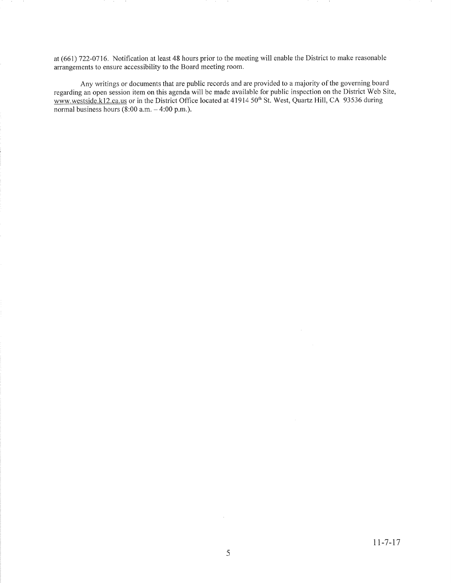at (661) 122-0116. Notification at least 48 hours prior to the meeting will enable the District to make reasonable arrangements to ensure accessibility to the Board meeting room.

Any writings or documents that are public records and are provided to a majority of the governing board regarding an open session itern on this agenda will be made available for public inspection on the District Web Site, www.westside.kl2.ca.us or in the District Office located at 41914 50<sup>th</sup> St. West, Quartz Hill, CA 93536 during normal business hours  $(8:00 \text{ a.m.} - 4:00 \text{ p.m.}).$ 

 $\bar{z}$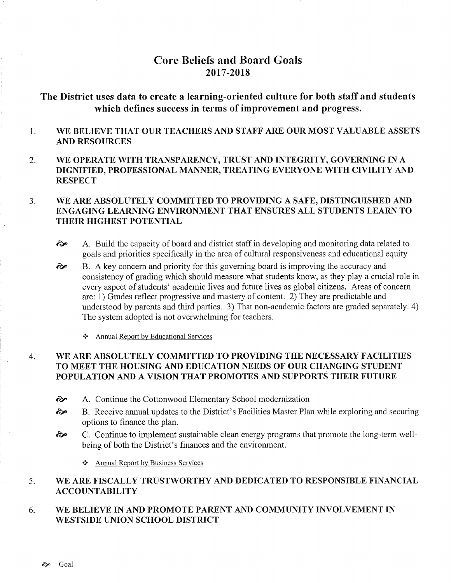# Core Beliefs and Board Goals 2017-2018

# The District uses data to create a learning-oriented culture for both staff and students which defines success in terms of improvement and progress.

#### WE BELIEVE THAT OUR TEACHERS AND STAFF ARE OUR MOST VALUABLE ASSETS 1. AND RESOURCES

2 WE OPERATE WITH TRANSPARENCY, TRUST AND INTEGRTTY, GOVERNING IN A DIGNIFIED, PROFESSIONAL MANNER, TREATING EVERYONE WITH CIVILITY AND **RESPECT** 

#### WE ARE ABSOLUTELY COMMITTED TO PROVIDING A SAFE, DISTINGUISHED AND ENGAGING LEARNING ENVIRONMENT THAT ENSURES ALL STUDENTS LEARN TO THEIR HIGHEST POTENTIAL  $3<sub>1</sub>$

- ôp A. Build the capacity of board and district staff in developing and monitoring data related to goals and priorities specifrcally in the area of cultural responsiveness and educational equity
- B. A key concem and priority for this governing board is improving the accuracy and consistency of grading which should measure what students know, as they play a crucial role in every aspect of students' academic lives and future lives as global citizens. Areas of concern are: 1) Grades reflect progressive and mastery of content. 2) They are predictable and understood by parents and third parties. 3) That non-academic factors are graded separately. 4) The system adopted is not overwhelming for teachers. ôp
	- \* Annual Report by Educational Services

#### WE ARE ABSOLUTELY COMMITTED TO PROVIDING THE NECESSARY FACILITIES TO MEET THE HOUSING AND EDUCATION NEEDS OF OUR CHANGING STUDENT POPULATION AND A VISION THAT PROMOTES AND SUPPORTS THEIR FUTURE 4

- richtaret A. Continue the Cottonwood Elementary School modernization
- ob B. Receive annual updates to the District's Facilities Master Plan while exploring and securing options to finance the plan.
- ôp C. Continue to implement sustainable clean energy programs that promote the long-term wellbeing of both the District's finances and the environment.
	- $\triangle$  Annual Report by Business Services

#### WE ARE FISCALLY TRUSTWORTHY AND DEDICATED TO RESPONSIBLE FINANCIAL ACCOUNTABILITY 5.

#### WE BELIEVE IN AND PROMOTE PARENT AND COMMUNITY INVOLVEMENT IN WBSTSIDE UNION SCHOOL DISTRICT 6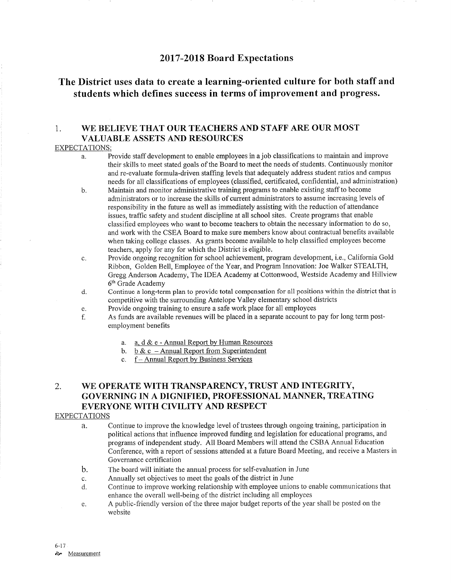# <sup>2017</sup>-2018 Board Expectations

# The District uses data to create a learning-oriented culture for both staff and students which defines success in terms of improvement and progress.

# 1. WE BELIEVE THAT OUR TEACHERS AND STAFF ARE OUR MOST VALUABLE ASSETS AND RESOURCES

## EXPECTATIONS:

- a. Provide staff development to enable employees in a job classifications to maintain and improve their skills to meet stated goals of the Board to meet the needs of students. Continuously monitor and re-evaluate formula-driven staffing levels that adequately address student ratios and campus needs for all classifications of employees (classified, certificated, confidential, and administration)
- b. Maintain and monitor administrative training programs to enable existing staff to become administrators or to increase the skills of current administrators to assume increasing levels of responsibility in the future as well as immediately assisting with the reduction of attendance issues, traffic safety and student discipline at all school sites. Create programs that enable classified employees who want to become teachers to obtain the necessary information to do so, and work with the CSEA Board to make sure members know about contractual benefits available when taking college classes. As grants become available to help classified employees become teachers, apply for any for which the District is eligible.
- c. Provide ongoing recognition for school achievement, program development, i.e., California Gold Ribbon, Golden Bell, Employee of the Year, and Program Innovation: Joe Walker STEALTH, Gregg Anderson Academy, The IDEA Academy at Cottonwood, Westside Academy and Hillview 6'h Grade Academy
- d. Continue a long-term plan to provide total compensation for all positions within the district that is competitive with the surrounding Antelope Valley elementary school districts
- e. Provide ongoing training to ensure a safe work place for all employees
- f. As funds are available revenues will be placed in a separate account to pay for long term postemployment benefits
	- a. a. d & e Annual Report by Human Resources<br>b. b & c Annual Report from Superintendent<br>c. f Annual Report by Business Services
	-
	-

# 2. WE OPERATE WITH TRANSPARENCY, TRUST AND INTEGRITY, GOVERNING IN A DIGNIFIED, PROFESSIONAL MANNER, TREATING EVERYONE WITH CIVILITY AND RESPECT

## EXPECTATIONS

- a. Continue to improve the knowledge level of trustees through ongoing training, participation in political actions that influence improved funding and legislation for educational programs, and programs of independent study. All Board Members will attend the CSBA Annual Education Conference, with a report of sessions attended at a future Board Meeting, and receive a Masters in Governance certification
- The board will initiate the annual process for self-evaluation in June  $\mathbf{b}$ .
- Annually set objectives to meet the goals of the district in June c.
- Continue to improve working relationship with employee unions to enable communications that enhance the overall well-being of the district including ail employees d.
- A public-friendly version of the three major budget reports of the year shall be posted on the website e.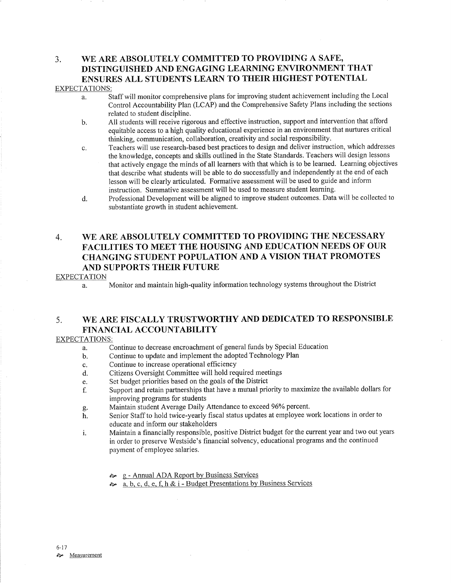# 3, WB ARE ABSOLUTELY COMMITTED TO PROVIDING A SAFE, DISTINGUISHED AND ENGAGING LEARNING ENVIRONMENT THAT ENSURES ALL STUDENTS LEARN TO THEIR HIGHEST POTENTIAL

### EXPECTATIONS:

- a. Staff will monitor comprehensive plans for improving student achievement including the Local Control Accountability Plan (LCAP) and the Comprehensive Safety Plans including the sections related to student discipline.
- b. All students will receive rigorous and effective instruction, suppoft and intervention that afford equitable access to a high quality educational experience in an environment that nurtures critical thinking, communication, collaboration, creativity and social responsibility.
- c. Teachers will use research-based best practices to design and deliver instruction, which addresses the knowledge, concepts and skills outlined in the State Standards. Teachers will design lessons that actively engage the minds of all learners with that which is to be learned. Learning objectives that describe what students will be able to do successfully and independently at the end of each lesson will be clearly articulated. Formative assessment will be used to guide and inform instruction. Summative assessment will be used to measure student leaming.
- d. Professional Development will be aligned to improve student outcomes. Data will be collected to substantiate growth in student achievement.

# 4. WE ARE ABSOLUTELY COMMITTED TO PROVIDING THE NECESSARY FACILITIES TO MEET THE HOUSING AND EDUCATION NEEDS OF OUR CHANGING STUDENT POPULATION AND A VISION THAT PROMOTES AND SUPPORTS THEIR FUTURE

## **EXPECTATION**

a. Monitor and maintain high-quality information technology systems throughout the District

# 5. WE ARE FISCALLY TRUSTWORTHY AND DEDICATED TO RESPONSIBLE FINANCIAL ACCOUNTABILITY

## EXPECTATIONS:

- a. Continue to decrease encroachment of general funds by Special Education
- b. Continue to update and implement the adopted Technology Plan
- c. Continue to increase operational efficiency
- d. Citizens Oversight Committee will hold required meetings
- e. Set budget priorities based on the goals of the District
- f. Support and retain partnerships that have a mutual priority to maximize the available dollars for improving programs for students<br>Maintain student Average Daily Attendance to exceed 96% percent.
- 
- g. Maintain student Average Daily Attendance to exceed 96% percent.<br>h. Senior Staff to hold twice-yearly fiscal status updates at employee work locations in order to educate and inform our stakeholders
- i. Maintain a financially responsible, positive District budget for the current year and two out years in order to preserve Westside's financial solvency, educational programs and the continued payment of employee salaries.
	- la g Annual ADA Report by Business Services
	- $\approx$  a. b. c. d. e. f. h & i Budget Presentations by Business Services